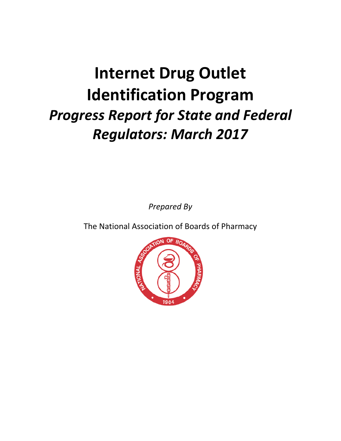# **Internet Drug Outlet Identification Program** *Progress Report for State and Federal Regulators: March 2017*

*Prepared By*

The National Association of Boards of Pharmacy

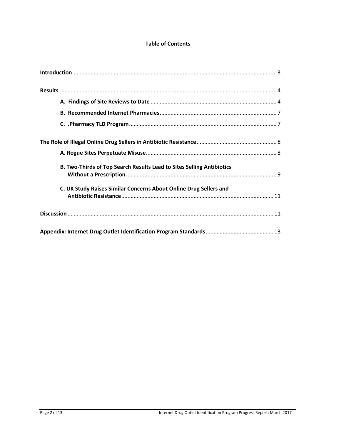#### **Table of Contents**

| B. Two-Thirds of Top Search Results Lead to Sites Selling Antibiotics |
|-----------------------------------------------------------------------|
| C. UK Study Raises Similar Concerns About Online Drug Sellers and     |
|                                                                       |
|                                                                       |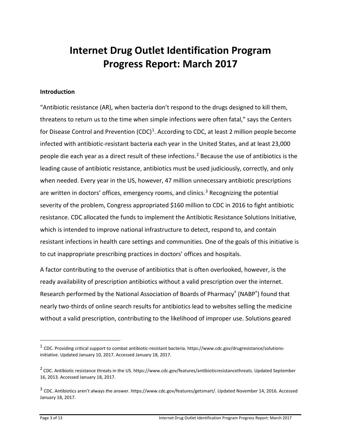## **Internet Drug Outlet Identification Program Progress Report: March 2017**

#### **Introduction**

"Antibiotic resistance (AR), when bacteria don't respond to the drugs designed to kill them, threatens to return us to the time when simple infections were often fatal," says the Centers for Disease Control and Prevention  $(CDC)^1$  $(CDC)^1$ . According to CDC, at least 2 million people become infected with antibiotic-resistant bacteria each year in the United States, and at least 23,000 people die each year as a direct result of these infections.<sup>[2](#page-2-1)</sup> Because the use of antibiotics is the leading cause of antibiotic resistance, antibiotics must be used judiciously, correctly, and only when needed. Every year in the US, however, 47 million unnecessary antibiotic prescriptions are written in doctors' offices, emergency rooms, and clinics.<sup>[3](#page-2-2)</sup> Recognizing the potential severity of the problem, Congress appropriated \$160 million to CDC in 2016 to fight antibiotic resistance. CDC allocated the funds to implement the Antibiotic Resistance Solutions Initiative, which is intended to improve national infrastructure to detect, respond to, and contain resistant infections in health care settings and communities. One of the goals of this initiative is to cut inappropriate prescribing practices in doctors' offices and hospitals.

A factor contributing to the overuse of antibiotics that is often overlooked, however, is the ready availability of prescription antibiotics without a valid prescription over the internet. Research performed by the National Association of Boards of Pharmacy® (NABP®) found that nearly two-thirds of online search results for antibiotics lead to websites selling the medicine without a valid prescription, contributing to the likelihood of improper use. Solutions geared

<span id="page-2-0"></span> $1$  CDC. Providing critical support to combat antibiotic-resistant bacteria. https://www.cdc.gov/drugresistance/solutionsinitiative. Updated January 10, 2017. Accessed January 18, 2017.

<span id="page-2-1"></span><sup>&</sup>lt;sup>2</sup> CDC. Antibiotic resistance threats in the US. https://www.cdc.gov/features/antibioticresistancethreats. Updated September 16, 2013. Accessed January 18, 2017.

<span id="page-2-2"></span><sup>3</sup> CDC. Antibiotics aren't always the answer. https://www.cdc.gov/features/getsmart/. Updated November 14, 2016. Accessed January 18, 2017.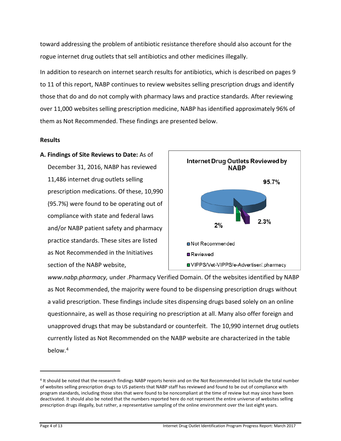toward addressing the problem of antibiotic resistance therefore should also account for the rogue internet drug outlets that sell antibiotics and other medicines illegally.

In addition to research on internet search results for antibiotics, which is described on pages 9 to 11 of this report, NABP continues to review websites selling prescription drugs and identify those that do and do not comply with pharmacy laws and practice standards. After reviewing over 11,000 websites selling prescription medicine, NABP has identified approximately 96% of them as Not Recommended. These findings are presented below.

#### **Results**

**A. Findings of Site Reviews to Date:** As of December 31, 2016, NABP has reviewed 11,486 internet drug outlets selling prescription medications. Of these, 10,990 (95.7%) were found to be operating out of compliance with state and federal laws and/or NABP patient safety and pharmacy practice standards. These sites are listed as Not Recommended in the Initiatives section of the NABP website,



*[www.nabp.pharmacy,](http://www.nabp.pharmacy/)* under .Pharmacy Verified Domain. Of the websites identified by NABP as Not Recommended, the majority were found to be dispensing prescription drugs without a valid prescription. These findings include sites dispensing drugs based solely on an online questionnaire, as well as those requiring no prescription at all. Many also offer foreign and unapproved drugs that may be substandard or counterfeit. The 10,990 internet drug outlets currently listed as Not Recommended on the NABP website are characterized in the table below. [4](#page-3-0)

 $\overline{a}$ 

<span id="page-3-0"></span><sup>4</sup> It should be noted that the research findings NABP reports herein and on the Not Recommended list include the total number of websites selling prescription drugs to US patients that NABP staff has reviewed and found to be out of compliance with program standards, including those sites that were found to be noncompliant at the time of review but may since have been deactivated. It should also be noted that the numbers reported here do not represent the entire universe of websites selling prescription drugs illegally, but rather, a representative sampling of the online environment over the last eight years.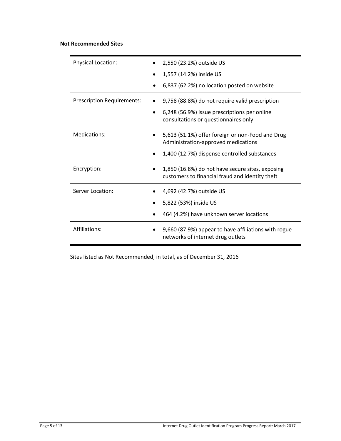#### **Not Recommended Sites**

| Physical Location:                | 2,550 (23.2%) outside US                                                                            |  |  |  |  |
|-----------------------------------|-----------------------------------------------------------------------------------------------------|--|--|--|--|
|                                   | 1,557 (14.2%) inside US                                                                             |  |  |  |  |
|                                   | 6,837 (62.2%) no location posted on website                                                         |  |  |  |  |
| <b>Prescription Requirements:</b> | 9,758 (88.8%) do not require valid prescription                                                     |  |  |  |  |
|                                   | 6,248 (56.9%) issue prescriptions per online<br>$\bullet$<br>consultations or questionnaires only   |  |  |  |  |
| Medications:                      | 5,613 (51.1%) offer foreign or non-Food and Drug<br>Administration-approved medications             |  |  |  |  |
|                                   | 1,400 (12.7%) dispense controlled substances                                                        |  |  |  |  |
| Encryption:                       | 1,850 (16.8%) do not have secure sites, exposing<br>customers to financial fraud and identity theft |  |  |  |  |
| Server Location:                  | 4,692 (42.7%) outside US                                                                            |  |  |  |  |
|                                   | 5,822 (53%) inside US                                                                               |  |  |  |  |
|                                   | 464 (4.2%) have unknown server locations                                                            |  |  |  |  |
| Affiliations:                     | 9,660 (87.9%) appear to have affiliations with rogue<br>networks of internet drug outlets           |  |  |  |  |

Sites listed as Not Recommended, in total, as of December 31, 2016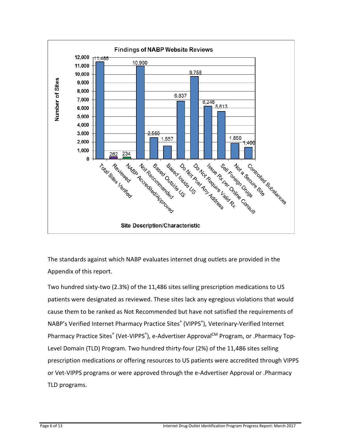

The standards against which NABP evaluates internet drug outlets are provided in the Appendix of this report.

Two hundred sixty-two (2.3%) of the 11,486 sites selling prescription medications to US patients were designated as reviewed. These sites lack any egregious violations that would cause them to be ranked as Not Recommended but have not satisfied the requirements of NABP's Verified Internet Pharmacy Practice Sites<sup>®</sup> (VIPPS<sup>®</sup>), Veterinary-Verified Internet Pharmacy Practice Sites® (Vet-VIPPS®), e-Advertiser Approval<sup>CM</sup> Program, or .Pharmacy Top-Level Domain (TLD) Program. Two hundred thirty-four (2%) of the 11,486 sites selling prescription medications or offering resources to US patients were accredited through VIPPS or Vet-VIPPS programs or were approved through the e-Advertiser Approval or .Pharmacy TLD programs.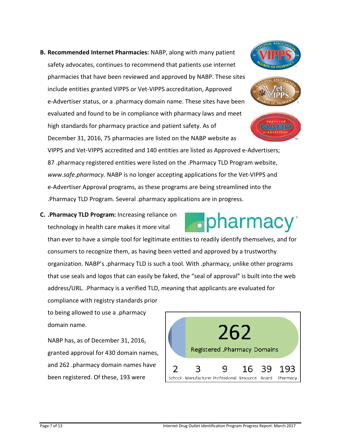.pharmacy<sup>®</sup> than ever to have a simple tool for legitimate entities to readily identify themselves, and for

NABP has, as of December 31, 2016, granted approval for 430 domain names, and 262 .pharmacy domain names have been registered. Of these, 193 were

VIPPS and Vet-VIPPS accredited and 140 entities are listed as Approved e-Advertisers; 87 .pharmacy registered entities were listed on the .Pharmacy TLD Program website, *www.safe.pharmacy.* NABP is no longer accepting applications for the Vet-VIPPS and e-Advertiser Approval programs, as these programs are being streamlined into the .Pharmacy TLD Program. Several .pharmacy applications are in progress.

**B. Recommended Internet Pharmacies:** NABP, along with many patient

safety advocates, continues to recommend that patients use [internet](http://www.nabp.net/vipps/intro.asp)

[include entities granted VIPPS or Vet-VIPPS accreditation, Approved](http://www.nabp.net/vipps/intro.asp) 

high standards for pharmacy practice and patient safety. As of

[pharmacies that have been reviewed and approved by NABP. These sites](http://www.nabp.net/vipps/intro.asp) 

[e-Advertiser status, or a .pharmacy domain name. T](http://www.nabp.net/vipps/intro.asp)hese sites have been

December 31, 2016, 75 pharmacies are listed on the NABP website as

### **C. .Pharmacy TLD Program:** Increasing reliance on

technology in health care makes it more vital

consumers to recognize them, as having been vetted and approved by a trustworthy organization. NABP's .pharmacy TLD is such a tool. With .pharmacy, unlike other programs that use seals and logos that can easily be faked, the "seal of approval" is built into the web address/URL. .Pharmacy is a verified TLD, meaning that applicants are evaluated for

to being allowed to use a .pharmacy domain name.

compliance with registry standards prior





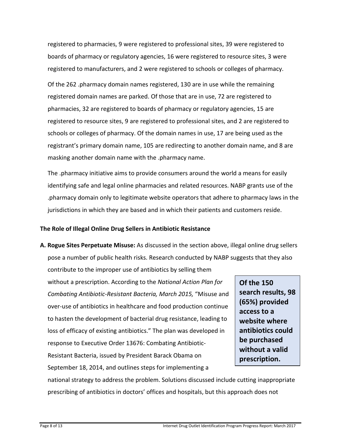registered to pharmacies, 9 were registered to professional sites, 39 were registered to boards of pharmacy or regulatory agencies, 16 were registered to resource sites, 3 were registered to manufacturers, and 2 were registered to schools or colleges of pharmacy. Of the 262 .pharmacy domain names registered, 130 are in use while the remaining registered domain names are parked. Of those that are in use, 72 are registered to pharmacies, 32 are registered to boards of pharmacy or regulatory agencies, 15 are registered to resource sites, 9 are registered to professional sites, and 2 are registered to schools or colleges of pharmacy. Of the domain names in use, 17 are being used as the registrant's primary domain name, 105 are redirecting to another domain name, and 8 are masking another domain name with the .pharmacy name.

The .pharmacy initiative aims to provide consumers around the world a means for easily identifying safe and legal online pharmacies and related resources. NABP grants use of the .pharmacy domain only to legitimate website operators that adhere to pharmacy laws in the jurisdictions in which they are based and in which their patients and customers reside.

#### **The Role of Illegal Online Drug Sellers in Antibiotic Resistance**

**A. Rogue Sites Perpetuate Misuse:** As discussed in the section above, illegal online drug sellers pose a number of public health risks. Research conducted by NABP suggests that they also

contribute to the improper use of antibiotics by selling them without a prescription. According to the *National Action Plan for Combating Antibiotic-Resistant Bacteria, March 2015,* "Misuse and over-use of antibiotics in healthcare and food production continue to hasten the development of bacterial drug resistance, leading to loss of efficacy of existing antibiotics." The plan was developed in response to Executive Order 13676: Combating Antibiotic-Resistant Bacteria, issued by President Barack Obama on September 18, 2014, and outlines steps for implementing a

**Of the 150 search results, 98 (65%) provided access to a website where antibiotics could be purchased without a valid prescription.**

national strategy to address the problem. Solutions discussed include cutting inappropriate prescribing of antibiotics in doctors' offices and hospitals, but this approach does not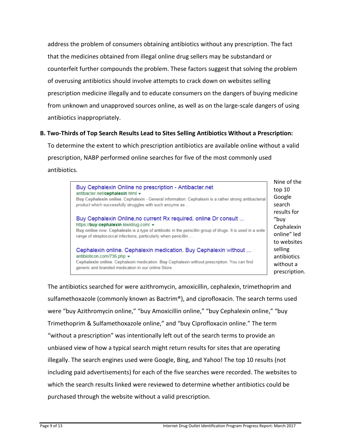address the problem of consumers obtaining antibiotics without any prescription. The fact that the medicines obtained from illegal online drug sellers may be substandard or counterfeit further compounds the problem. These factors suggest that solving the problem of overusing antibiotics should involve attempts to crack down on websites selling prescription medicine illegally and to educate consumers on the dangers of buying medicine from unknown and unapproved sources online, as well as on the large-scale dangers of using antibiotics inappropriately.

#### **B. Two-Thirds of Top Search Results Lead to Sites Selling Antibiotics Without a Prescription:**

To determine the extent to which prescription antibiotics are available online without a valid prescription, NABP performed online searches for five of the most commonly used antibiotics.

| Buy Cephalexin Online no prescription - Antibacter.net<br>antibacter.net/cephalexin.html =<br>Buy Cephalexin online. Cephalexin - General information. Cephalexin is a rather strong antibacterial                      |  |
|-------------------------------------------------------------------------------------------------------------------------------------------------------------------------------------------------------------------------|--|
| product which successfully struggles with such enzyme as                                                                                                                                                                |  |
| Buy Cephalexin Online, no current Rx required, online Dr consult<br>https://buy-cephalexin.kiwidrug.com/ v<br>Buy online now. Cephalexin is a type of antibiotic in the penicillin group of drugs. It is used in a wide |  |
| range of streptococcal infections, particularly when penicillin                                                                                                                                                         |  |
| Cephalexin online. Cephalexin medication. Buy Cephalexin without<br>antibioticon.com/736.php ▼                                                                                                                          |  |
| Cephalexin online. Cephalexin medication. Buy Cephalexin without prescription. You can find<br>generic and branded medication in our online Store.                                                                      |  |

Nine of the 10 gle ch Its for "buy halexin he" led ebsites ነደ piotics out a cription.

The antibiotics searched for were azithromycin, amoxicillin, cephalexin, trimethoprim and sulfamethoxazole (commonly known as Bactrim®), and ciprofloxacin. The search terms used were "buy Azithromycin online," "buy Amoxicillin online," "buy Cephalexin online," "buy Trimethoprim & Sulfamethoxazole online," and "buy Ciprofloxacin online." The term "without a prescription" was intentionally left out of the search terms to provide an unbiased view of how a typical search might return results for sites that are operating illegally. The search engines used were Google, Bing, and Yahoo! The top 10 results (not including paid advertisements) for each of the five searches were recorded. The websites to which the search results linked were reviewed to determine whether antibiotics could be purchased through the website without a valid prescription.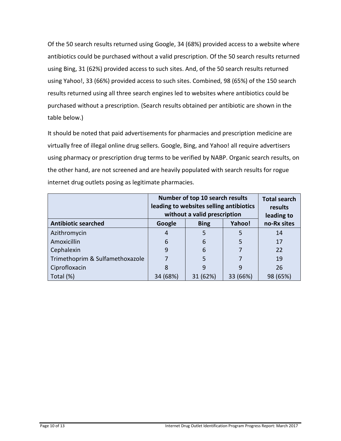Of the 50 search results returned using Google, 34 (68%) provided access to a website where antibiotics could be purchased without a valid prescription. Of the 50 search results returned using Bing, 31 (62%) provided access to such sites. And, of the 50 search results returned using Yahoo!, 33 (66%) provided access to such sites. Combined, 98 (65%) of the 150 search results returned using all three search engines led to websites where antibiotics could be purchased without a prescription. (Search results obtained per antibiotic are shown in the table below.)

It should be noted that paid advertisements for pharmacies and prescription medicine are virtually free of illegal online drug sellers. Google, Bing, and Yahoo! all require advertisers using pharmacy or prescription drug terms to be verified by NABP. Organic search results, on the other hand, are not screened and are heavily populated with search results for rogue internet drug outlets posing as legitimate pharmacies.

|                                 | Number of top 10 search results<br>leading to websites selling antibiotics<br>without a valid prescription | <b>Total search</b><br>results<br>leading to |          |             |
|---------------------------------|------------------------------------------------------------------------------------------------------------|----------------------------------------------|----------|-------------|
| <b>Antibiotic searched</b>      | Google                                                                                                     | <b>Bing</b>                                  | Yahoo!   | no-Rx sites |
| Azithromycin                    | 4                                                                                                          | 5                                            | 5        | 14          |
| Amoxicillin                     | 6                                                                                                          | 6                                            | 5        | 17          |
| Cephalexin                      | 9                                                                                                          | 6                                            |          | 22          |
| Trimethoprim & Sulfamethoxazole |                                                                                                            | 5                                            |          | 19          |
| Ciprofloxacin                   | 8                                                                                                          | 9                                            | 9        | 26          |
| Total (%)                       | 34 (68%)                                                                                                   | 31 (62%)                                     | 33 (66%) | 98 (65%)    |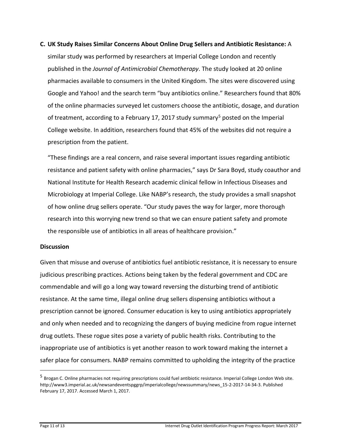#### **C. UK Study Raises Similar Concerns About Online Drug Sellers and Antibiotic Resistance:** A

similar study was performed by researchers at Imperial College London and recently published in the *Journal of Antimicrobial Chemotherapy*. The study looked at 20 online pharmacies available to consumers in the United Kingdom. The sites were discovered using Google and Yahoo! and the search term "buy antibiotics online." Researchers found that 80% of the online pharmacies surveyed let customers choose the antibiotic, dosage, and duration of treatment, according to a February 17, 2017 study summary<sup>[5](#page-10-0)</sup> posted on the Imperial College website. In addition, researchers found that 45% of the websites did not require a prescription from the patient.

"These findings are a real concern, and raise several important issues regarding antibiotic resistance and patient safety with online pharmacies," says Dr Sara Boyd, study coauthor and National Institute for Health Research academic clinical fellow in Infectious Diseases and Microbiology at Imperial College. Like NABP's research, the study provides a small snapshot of how online drug sellers operate. "Our study paves the way for larger, more thorough research into this worrying new trend so that we can ensure patient safety and promote the responsible use of antibiotics in all areas of healthcare provision."

#### **Discussion**

Given that misuse and overuse of antibiotics fuel antibiotic resistance, it is necessary to ensure judicious prescribing practices. Actions being taken by the federal government and CDC are commendable and will go a long way toward reversing the disturbing trend of antibiotic resistance. At the same time, illegal online drug sellers dispensing antibiotics without a prescription cannot be ignored. Consumer education is key to using antibiotics appropriately and only when needed and to recognizing the dangers of buying medicine from rogue internet drug outlets. These rogue sites pose a variety of public health risks. Contributing to the inappropriate use of antibiotics is yet another reason to work toward making the internet a safer place for consumers. NABP remains committed to upholding the integrity of the practice

<span id="page-10-0"></span><sup>&</sup>lt;sup>5</sup> Brogan C. Online pharmacies not requiring prescriptions could fuel antibiotic resistance. Imperial College London Web site. http://www3.imperial.ac.uk/newsandeventspggrp/imperialcollege/newssummary/news\_15-2-2017-14-34-3. Published February 17, 2017. Accessed March 1, 2017.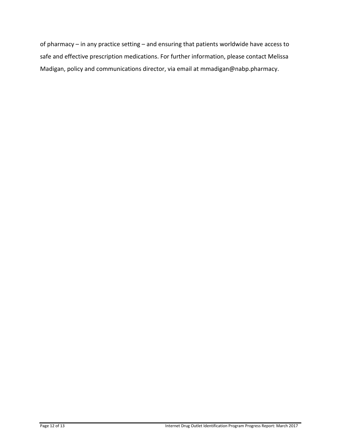of pharmacy – in any practice setting – and ensuring that patients worldwide have access to safe and effective prescription medications. For further information, please contact Melissa Madigan, policy and communications director, via email at mmadigan@nabp.pharmacy.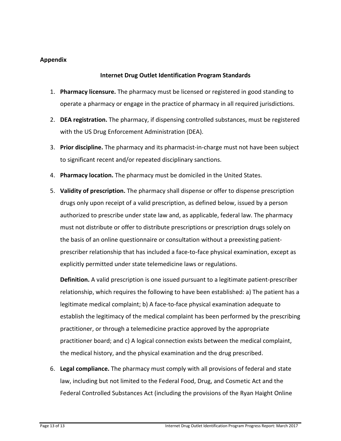#### **Appendix**

#### **Internet Drug Outlet Identification Program Standards**

- 1. **Pharmacy licensure.** The pharmacy must be licensed or registered in good standing to operate a pharmacy or engage in the practice of pharmacy in all required jurisdictions.
- 2. **DEA registration.** The pharmacy, if dispensing controlled substances, must be registered with the US Drug Enforcement Administration (DEA).
- 3. **Prior discipline.** The pharmacy and its pharmacist-in-charge must not have been subject to significant recent and/or repeated disciplinary sanctions.
- 4. **Pharmacy location.** The pharmacy must be domiciled in the United States.
- 5. **Validity of prescription.** The pharmacy shall dispense or offer to dispense prescription drugs only upon receipt of a valid prescription, as defined below, issued by a person authorized to prescribe under state law and, as applicable, federal law. The pharmacy must not distribute or offer to distribute prescriptions or prescription drugs solely on the basis of an online questionnaire or consultation without a preexisting patientprescriber relationship that has included a face-to-face physical examination, except as explicitly permitted under state telemedicine laws or regulations.

**Definition.** A valid prescription is one issued pursuant to a legitimate patient-prescriber relationship, which requires the following to have been established: a) The patient has a legitimate medical complaint; b) A face-to-face physical examination adequate to establish the legitimacy of the medical complaint has been performed by the prescribing practitioner, or through a telemedicine practice approved by the appropriate practitioner board; and c) A logical connection exists between the medical complaint, the medical history, and the physical examination and the drug prescribed.

6. **Legal compliance.** The pharmacy must comply with all provisions of federal and state law, including but not limited to the Federal Food, Drug, and Cosmetic Act and the Federal Controlled Substances Act (including the provisions of the Ryan Haight Online